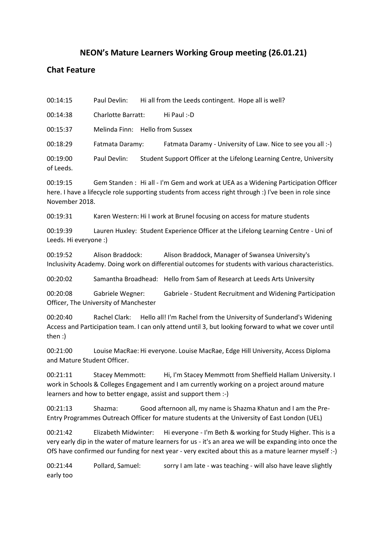## **NEON's Mature Learners Working Group meeting (26.01.21)**

## **Chat Feature**

00:14:15 Paul Devlin: Hi all from the Leeds contingent. Hope all is well?

00:14:38 Charlotte Barratt: Hi Paul :-D

00:15:37 Melinda Finn: Hello from Sussex

00:18:29 Fatmata Daramy: Fatmata Daramy - University of Law. Nice to see you all :-)

00:19:00 Paul Devlin: Student Support Officer at the Lifelong Learning Centre, University of Leeds.

00:19:15 Gem Standen : Hi all - I'm Gem and work at UEA as a Widening Participation Officer here. I have a lifecycle role supporting students from access right through :) I've been in role since November 2018.

00:19:31 Karen Western: Hi I work at Brunel focusing on access for mature students

00:19:39 Lauren Huxley: Student Experience Officer at the Lifelong Learning Centre - Uni of Leeds. Hi everyone :)

00:19:52 Alison Braddock: Alison Braddock, Manager of Swansea University's Inclusivity Academy. Doing work on differential outcomes for students with various characteristics.

00:20:02 Samantha Broadhead: Hello from Sam of Research at Leeds Arts University

00:20:08 Gabriele Wegner: Gabriele - Student Recruitment and Widening Participation Officer, The University of Manchester

00:20:40 Rachel Clark: Hello all! I'm Rachel from the University of Sunderland's Widening Access and Participation team. I can only attend until 3, but looking forward to what we cover until then :)

00:21:00 Louise MacRae: Hi everyone. Louise MacRae, Edge Hill University, Access Diploma and Mature Student Officer.

00:21:11 Stacey Memmott: Hi, I'm Stacey Memmott from Sheffield Hallam University. I work in Schools & Colleges Engagement and I am currently working on a project around mature learners and how to better engage, assist and support them :-)

00:21:13 Shazma: Good afternoon all, my name is Shazma Khatun and I am the Pre-Entry Programmes Outreach Officer for mature students at the University of East London (UEL)

00:21:42 Elizabeth Midwinter: Hi everyone - I'm Beth & working for Study Higher. This is a very early dip in the water of mature learners for us - it's an area we will be expanding into once the OfS have confirmed our funding for next year - very excited about this as a mature learner myself :-)

00:21:44 Pollard, Samuel: sorry I am late - was teaching - will also have leave slightly early too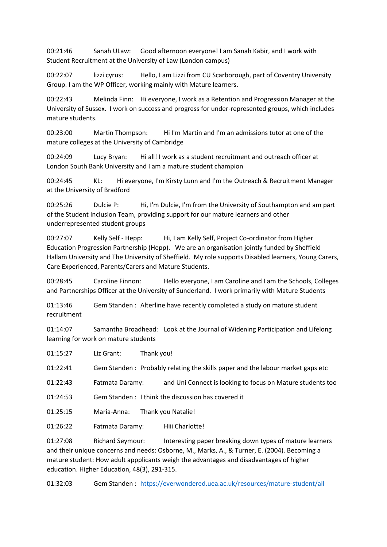00:21:46 Sanah ULaw: Good afternoon everyone! I am Sanah Kabir, and I work with Student Recruitment at the University of Law (London campus)

00:22:07 lizzi cyrus: Hello, I am Lizzi from CU Scarborough, part of Coventry University Group. I am the WP Officer, working mainly with Mature learners.

00:22:43 Melinda Finn: Hi everyone, I work as a Retention and Progression Manager at the University of Sussex. I work on success and progress for under-represented groups, which includes mature students.

00:23:00 Martin Thompson: Hi I'm Martin and I'm an admissions tutor at one of the mature colleges at the University of Cambridge

00:24:09 Lucy Bryan: Hi all! I work as a student recruitment and outreach officer at London South Bank University and I am a mature student champion

00:24:45 KL: Hi everyone, I'm Kirsty Lunn and I'm the Outreach & Recruitment Manager at the University of Bradford

00:25:26 Dulcie P: Hi, I'm Dulcie, I'm from the University of Southampton and am part of the Student Inclusion Team, providing support for our mature learners and other underrepresented student groups

00:27:07 Kelly Self - Hepp: Hi, I am Kelly Self, Project Co-ordinator from Higher Education Progression Partnership (Hepp). We are an organisation jointly funded by Sheffield Hallam University and The University of Sheffield. My role supports Disabled learners, Young Carers, Care Experienced, Parents/Carers and Mature Students.

00:28:45 Caroline Finnon: Hello everyone, I am Caroline and I am the Schools, Colleges and Partnerships Officer at the University of Sunderland. I work primarily with Mature Students

01:13:46 Gem Standen : Alterline have recently completed a study on mature student recruitment

01:14:07 Samantha Broadhead: Look at the Journal of Widening Participation and Lifelong learning for work on mature students

01:15:27 Liz Grant: Thank you! 01:22:41 Gem Standen : Probably relating the skills paper and the labour market gaps etc

01:22:43 Fatmata Daramy: and Uni Connect is looking to focus on Mature students too

01:24:53 Gem Standen : I think the discussion has covered it

01:25:15 Maria-Anna: Thank you Natalie!

01:26:22 Fatmata Daramy: Hiii Charlotte!

01:27:08 Richard Seymour: Interesting paper breaking down types of mature learners and their unique concerns and needs: Osborne, M., Marks, A., & Turner, E. (2004). Becoming a mature student: How adult appplicants weigh the advantages and disadvantages of higher education. Higher Education, 48(3), 291-315.

01:32:03 Gem Standen : <https://everwondered.uea.ac.uk/resources/mature-student/all>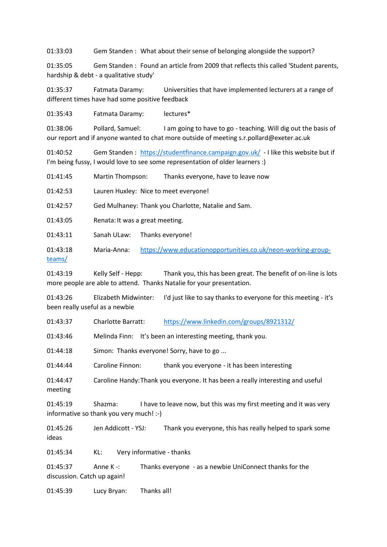01:33:03 Gem Standen : What about their sense of belonging alongside the support?

01:35:05 Gem Standen : Found an article from 2009 that reflects this called 'Student parents, hardship & debt - a qualitative study'

01:35:37 Fatmata Daramy: Universities that have implemented lecturers at a range of different times have had some positive feedback

01:35:43 Fatmata Daramy: lectures\*

01:38:06 Pollard, Samuel: I am going to have to go - teaching. Will dig out the basis of our report and if anyone wanted to chat more outside of meeting s.r.pollard@exeter.ac.uk

01:40:52 Gem Standen : <https://studentfinance.campaign.gov.uk/> - I like this website but if I'm being fussy, I would love to see some representation of older learners :)

01:41:45 Martin Thompson: Thanks everyone, have to leave now

01:42:53 Lauren Huxley: Nice to meet everyone!

01:42:57 Ged Mulhaney: Thank you Charlotte, Natalie and Sam.

01:43:05 Renata:It was a great meeting.

01:43:11 Sanah ULaw: Thanks everyone!

01:43:18 Maria-Anna: [https://www.educationopportunities.co.uk/neon-working-group](https://www.educationopportunities.co.uk/neon-working-group-teams/)[teams/](https://www.educationopportunities.co.uk/neon-working-group-teams/)

01:43:19 Kelly Self - Hepp: Thank you, this has been great. The benefit of on-line is lots more people are able to attend. Thanks Natalie for your presentation.

01:43:26 Elizabeth Midwinter: I'd just like to say thanks to everyone for this meeting - it's been really useful as a newbie

01:43:37 Charlotte Barratt: <https://www.linkedin.com/groups/8921312/>

01:43:46 Melinda Finn: It's been an interesting meeting, thank you.

01:44:18 Simon: Thanks everyone! Sorry, have to go ...

01:44:44 Caroline Finnon: thank you everyone - it has been interesting

01:44:47 Caroline Handy:Thank you everyone. It has been a really interesting and useful meeting

01:45:19 Shazma: I have to leave now, but this was my first meeting and it was very informative so thank you very much! :-)

01:45:26 Jen Addicott - YSJ: Thank you everyone, this has really helped to spark some ideas

01:45:34 KL: Very informative - thanks

01:45:37 Anne K -: Thanks everyone - as a newbie UniConnect thanks for the discussion. Catch up again!

01:45:39 Lucy Bryan: Thanks all!